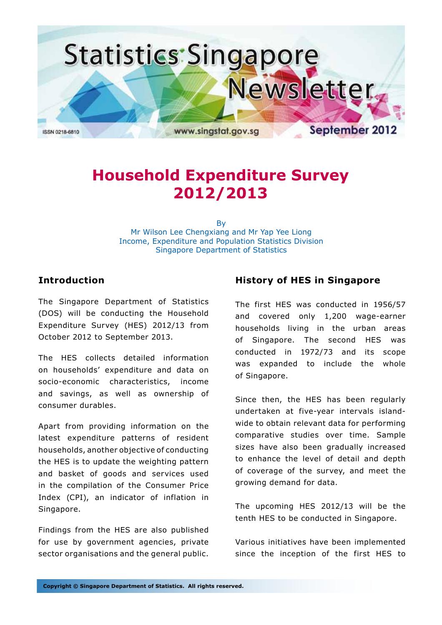

# **Household Expenditure Survey 2012/2013**

By Mr Wilson Lee Chengxiang and Mr Yap Yee Liong Income, Expenditure and Population Statistics Division Singapore Department of Statistics

## **Introduction**

The Singapore Department of Statistics (DOS) will be conducting the Household Expenditure Survey (HES) 2012/13 from October 2012 to September 2013.

The HES collects detailed information on households' expenditure and data on socio-economic characteristics, income and savings, as well as ownership of consumer durables.

Apart from providing information on the latest expenditure patterns of resident households, another objective of conducting the HES is to update the weighting pattern and basket of goods and services used in the compilation of the Consumer Price Index (CPI), an indicator of inflation in Singapore.

Findings from the HES are also published for use by government agencies, private sector organisations and the general public.

# **History of HES in Singapore**

The first HES was conducted in 1956/57 and covered only 1,200 wage-earner households living in the urban areas of Singapore. The second HES was conducted in 1972/73 and its scope was expanded to include the whole of Singapore.

Since then, the HES has been regularly undertaken at five-year intervals islandwide to obtain relevant data for performing comparative studies over time. Sample sizes have also been gradually increased to enhance the level of detail and depth of coverage of the survey, and meet the growing demand for data.

The upcoming HES 2012/13 will be the tenth HES to be conducted in Singapore.

Various initiatives have been implemented since the inception of the first HES to

**Copyright © Singapore Department of Statistics. All rights reserved.**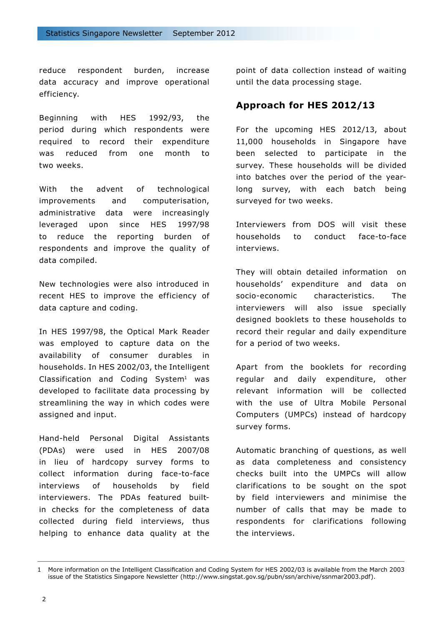reduce respondent burden, increase data accuracy and improve operational efficiency.

Beginning with HES 1992/93, the period during which respondents were required to record their expenditure was reduced from one month to two weeks.

With the advent of technological improvements and computerisation, administrative data were increasingly leveraged upon since HES 1997/98 to reduce the reporting burden of respondents and improve the quality of data compiled.

New technologies were also introduced in recent HES to improve the efficiency of data capture and coding.

In HES 1997/98, the Optical Mark Reader was employed to capture data on the availability of consumer durables in households. In HES 2002/03, the Intelligent Classification and Coding System<sup>1</sup> was developed to facilitate data processing by streamlining the way in which codes were assigned and input.

Hand-held Personal Digital Assistants (PDAs) were used in HES 2007/08 in lieu of hardcopy survey forms to collect information during face-to-face interviews of households by field interviewers. The PDAs featured builtin checks for the completeness of data collected during field interviews, thus helping to enhance data quality at the

point of data collection instead of waiting until the data processing stage.

## **Approach for HES 2012/13**

For the upcoming HES 2012/13, about 11,000 households in Singapore have been selected to participate in the survey. These households will be divided into batches over the period of the yearlong survey, with each batch being surveyed for two weeks.

Interviewers from DOS will visit these households to conduct face-to-face interviews.

They will obtain detailed information on households' expenditure and data on socio-economic characteristics. The interviewers will also issue specially designed booklets to these households to record their regular and daily expenditure for a period of two weeks.

Apart from the booklets for recording regular and daily expenditure, other relevant information will be collected with the use of Ultra Mobile Personal Computers (UMPCs) instead of hardcopy survey forms.

Automatic branching of questions, as well as data completeness and consistency checks built into the UMPCs will allow clarifications to be sought on the spot by field interviewers and minimise the number of calls that may be made to respondents for clarifications following the interviews.

<sup>1</sup> More information on the Intelligent Classification and Coding System for HES 2002/03 is available from the March 2003 issue of the Statistics Singapore Newsletter (http://www.singstat.gov.sg/pubn/ssn/archive/ssnmar2003.pdf).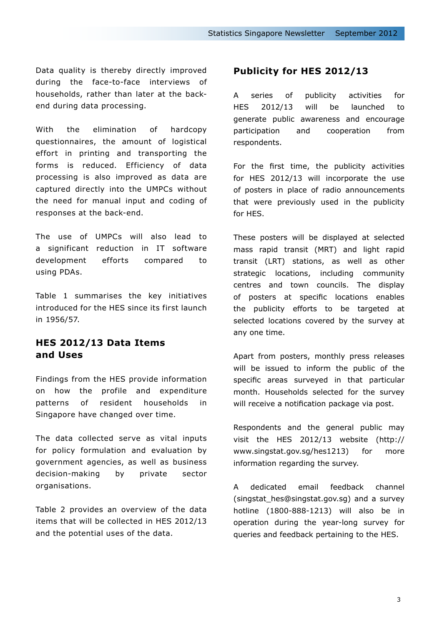Data quality is thereby directly improved during the face-to-face interviews of households, rather than later at the backend during data processing.

With the elimination of hardcopy questionnaires, the amount of logistical effort in printing and transporting the forms is reduced. Efficiency of data processing is also improved as data are captured directly into the UMPCs without the need for manual input and coding of responses at the back-end.

The use of UMPCs will also lead to a significant reduction in IT software development efforts compared to using PDAs.

Table 1 summarises the key initiatives introduced for the HES since its first launch in 1956/57.

# **HES 2012/13 Data Items and Uses**

Findings from the HES provide information on how the profile and expenditure patterns of resident households in Singapore have changed over time.

The data collected serve as vital inputs for policy formulation and evaluation by government agencies, as well as business decision-making by private sector organisations.

Table 2 provides an overview of the data items that will be collected in HES 2012/13 and the potential uses of the data.

## **Publicity for HES 2012/13**

A series of publicity activities for HES 2012/13 will be launched to generate public awareness and encourage participation and cooperation from respondents.

For the first time, the publicity activities for HES 2012/13 will incorporate the use of posters in place of radio announcements that were previously used in the publicity for HES.

These posters will be displayed at selected mass rapid transit (MRT) and light rapid transit (LRT) stations, as well as other strategic locations, including community centres and town councils. The display of posters at specific locations enables the publicity efforts to be targeted at selected locations covered by the survey at any one time.

Apart from posters, monthly press releases will be issued to inform the public of the specific areas surveyed in that particular month. Households selected for the survey will receive a notification package via post.

Respondents and the general public may visit the HES 2012/13 website (http:// www.singstat.gov.sg/hes1213) for more information regarding the survey.

A dedicated email feedback channel (singstat hes@singstat.gov.sg) and a survey hotline (1800-888-1213) will also be in operation during the year-long survey for queries and feedback pertaining to the HES.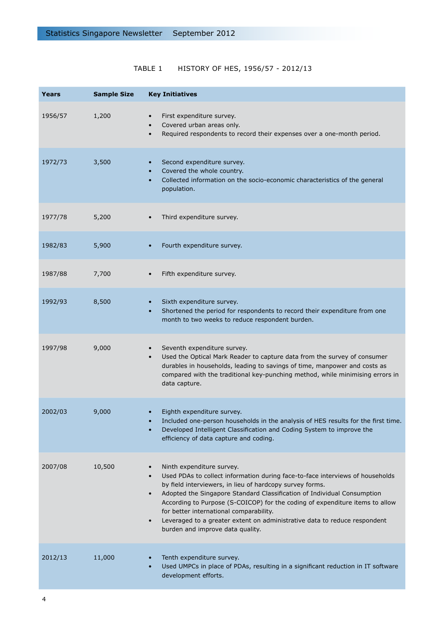# TABLE 1 HISTORY OF HES, 1956/57 - 2012/13

| Years   | <b>Sample Size</b> | <b>Key Initiatives</b>                                                                                                                                                                                                                                                                                                                                                                                                                                                                                                  |
|---------|--------------------|-------------------------------------------------------------------------------------------------------------------------------------------------------------------------------------------------------------------------------------------------------------------------------------------------------------------------------------------------------------------------------------------------------------------------------------------------------------------------------------------------------------------------|
| 1956/57 | 1,200              | First expenditure survey.<br>Covered urban areas only.<br>Required respondents to record their expenses over a one-month period.<br>$\bullet$                                                                                                                                                                                                                                                                                                                                                                           |
| 1972/73 | 3,500              | Second expenditure survey.<br>Covered the whole country.<br>Collected information on the socio-economic characteristics of the general<br>population.                                                                                                                                                                                                                                                                                                                                                                   |
| 1977/78 | 5,200              | Third expenditure survey.                                                                                                                                                                                                                                                                                                                                                                                                                                                                                               |
| 1982/83 | 5,900              | Fourth expenditure survey.                                                                                                                                                                                                                                                                                                                                                                                                                                                                                              |
| 1987/88 | 7,700              | Fifth expenditure survey.                                                                                                                                                                                                                                                                                                                                                                                                                                                                                               |
| 1992/93 | 8,500              | Sixth expenditure survey.<br>Shortened the period for respondents to record their expenditure from one<br>month to two weeks to reduce respondent burden.                                                                                                                                                                                                                                                                                                                                                               |
| 1997/98 | 9,000              | Seventh expenditure survey.<br>Used the Optical Mark Reader to capture data from the survey of consumer<br>durables in households, leading to savings of time, manpower and costs as<br>compared with the traditional key-punching method, while minimising errors in<br>data capture.                                                                                                                                                                                                                                  |
| 2002/03 | 9,000              | Eighth expenditure survey.<br>Included one-person households in the analysis of HES results for the first time.<br>Developed Intelligent Classification and Coding System to improve the<br>efficiency of data capture and coding.                                                                                                                                                                                                                                                                                      |
| 2007/08 | 10,500             | Ninth expenditure survey.<br>Used PDAs to collect information during face-to-face interviews of households<br>by field interviewers, in lieu of hardcopy survey forms.<br>Adopted the Singapore Standard Classification of Individual Consumption<br>$\bullet$<br>According to Purpose (S-COICOP) for the coding of expenditure items to allow<br>for better international comparability.<br>Leveraged to a greater extent on administrative data to reduce respondent<br>$\bullet$<br>burden and improve data quality. |
| 2012/13 | 11,000             | Tenth expenditure survey.<br>Used UMPCs in place of PDAs, resulting in a significant reduction in IT software<br>development efforts.                                                                                                                                                                                                                                                                                                                                                                                   |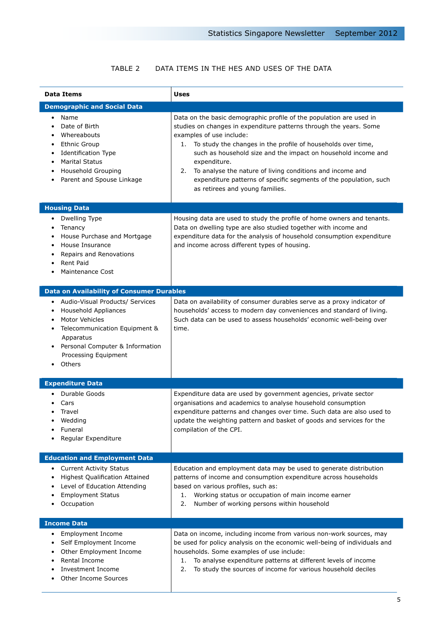## TABLE 2 DATA ITEMS IN THE HES AND USES OF THE DATA

| <b>Data Items</b>                                                                                                                                                                                                     | Uses                                                                                                                                                                                                                                                                                                                                                                                                                                                                                                    |
|-----------------------------------------------------------------------------------------------------------------------------------------------------------------------------------------------------------------------|---------------------------------------------------------------------------------------------------------------------------------------------------------------------------------------------------------------------------------------------------------------------------------------------------------------------------------------------------------------------------------------------------------------------------------------------------------------------------------------------------------|
| <b>Demographic and Social Data</b>                                                                                                                                                                                    |                                                                                                                                                                                                                                                                                                                                                                                                                                                                                                         |
| Name<br>$\bullet$<br>Date of Birth<br>٠<br>Whereabouts<br>٠<br><b>Ethnic Group</b><br>٠<br><b>Identification Type</b><br>٠<br><b>Marital Status</b><br>٠<br>Household Grouping<br>٠<br>Parent and Spouse Linkage<br>٠ | Data on the basic demographic profile of the population are used in<br>studies on changes in expenditure patterns through the years. Some<br>examples of use include:<br>To study the changes in the profile of households over time,<br>1.<br>such as household size and the impact on household income and<br>expenditure.<br>To analyse the nature of living conditions and income and<br>2.<br>expenditure patterns of specific segments of the population, such<br>as retirees and young families. |
| <b>Housing Data</b>                                                                                                                                                                                                   |                                                                                                                                                                                                                                                                                                                                                                                                                                                                                                         |
| Dwelling Type<br>Tenancy<br>House Purchase and Mortgage<br>House Insurance<br>Repairs and Renovations<br><b>Rent Paid</b><br><b>Maintenance Cost</b>                                                                  | Housing data are used to study the profile of home owners and tenants.<br>Data on dwelling type are also studied together with income and<br>expenditure data for the analysis of household consumption expenditure<br>and income across different types of housing.                                                                                                                                                                                                                                    |
| <b>Data on Availability of Consumer Durables</b>                                                                                                                                                                      |                                                                                                                                                                                                                                                                                                                                                                                                                                                                                                         |
| Audio-Visual Products/ Services<br>Household Appliances<br>Motor Vehicles<br>Telecommunication Equipment &<br>٠<br>Apparatus<br>Personal Computer & Information<br>Processing Equipment<br>Others                     | Data on availability of consumer durables serve as a proxy indicator of<br>households' access to modern day conveniences and standard of living.<br>Such data can be used to assess households' economic well-being over<br>time.                                                                                                                                                                                                                                                                       |
| <b>Expenditure Data</b>                                                                                                                                                                                               |                                                                                                                                                                                                                                                                                                                                                                                                                                                                                                         |
| Durable Goods<br>Cars<br>Travel<br>Wedding<br>Funeral<br>Regular Expenditure                                                                                                                                          | Expenditure data are used by government agencies, private sector<br>organisations and academics to analyse household consumption<br>expenditure patterns and changes over time. Such data are also used to<br>update the weighting pattern and basket of goods and services for the<br>compilation of the CPI.                                                                                                                                                                                          |
| <b>Education and Employment Data</b>                                                                                                                                                                                  |                                                                                                                                                                                                                                                                                                                                                                                                                                                                                                         |
| <b>Current Activity Status</b><br>Highest Qualification Attained<br>Level of Education Attending<br><b>Employment Status</b><br>Occupation                                                                            | Education and employment data may be used to generate distribution<br>patterns of income and consumption expenditure across households<br>based on various profiles, such as:<br>Working status or occupation of main income earner<br>1.<br>2.<br>Number of working persons within household                                                                                                                                                                                                           |
| <b>Income Data</b>                                                                                                                                                                                                    |                                                                                                                                                                                                                                                                                                                                                                                                                                                                                                         |
| <b>Employment Income</b><br>٠<br>Self Employment Income<br>٠<br>Other Employment Income<br>٠<br>Rental Income<br>Investment Income<br>Other Income Sources                                                            | Data on income, including income from various non-work sources, may<br>be used for policy analysis on the economic well-being of individuals and<br>households. Some examples of use include:<br>To analyse expenditure patterns at different levels of income<br>1.<br>2.<br>To study the sources of income for various household deciles                                                                                                                                                              |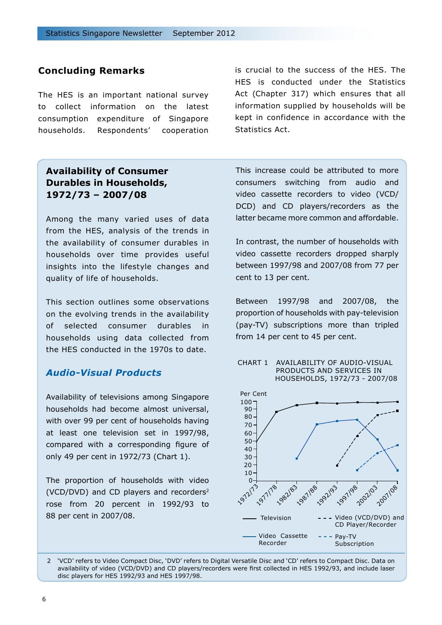## **Concluding Remarks**

The HES is an important national survey to collect information on the latest consumption expenditure of Singapore households. Respondents' cooperation

# **Availability of Consumer Durables in Households, 1972/73 – 2007/08**

Among the many varied uses of data from the HES, analysis of the trends in the availability of consumer durables in households over time provides useful insights into the lifestyle changes and quality of life of households.

This section outlines some observations on the evolving trends in the availability of selected consumer durables in households using data collected from the HES conducted in the 1970s to date.

## *Audio-Visual Products*

Availability of televisions among Singapore households had become almost universal, with over 99 per cent of households having at least one television set in 1997/98, compared with a corresponding figure of only 49 per cent in 1972/73 (Chart 1).

The proportion of households with video (VCD/DVD) and CD players and recorders2 rose from 20 percent in 1992/93 to 88 per cent in 2007/08.

is crucial to the success of the HES. The HES is conducted under the Statistics Act (Chapter 317) which ensures that all information supplied by households will be kept in confidence in accordance with the Statistics Act.

This increase could be attributed to more consumers switching from audio and video cassette recorders to video (VCD/ DCD) and CD players/recorders as the latter became more common and affordable.

In contrast, the number of households with video cassette recorders dropped sharply between 1997/98 and 2007/08 from 77 per cent to 13 per cent.

Between 1997/98 and 2007/08, the proportion of households with pay-television (pay-TV) subscriptions more than tripled from 14 per cent to 45 per cent.

#### CHART 1 AVAILABILITY OF AUDIO-VISUAL PRODUCTS AND SERVICES IN HOUSEHOLDS, 1972/73 - 2007/08



2 'VCD' refers to Video Compact Disc, 'DVD' refers to Digital Versatile Disc and 'CD' refers to Compact Disc. Data on availability of video (VCD/DVD) and CD players/recorders were first collected in HES 1992/93, and include laser disc players for HES 1992/93 and HES 1997/98.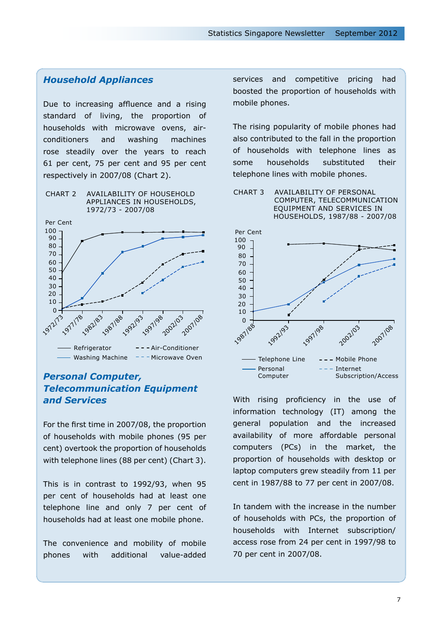## *Household Appliances*

Due to increasing affluence and a rising standard of living, the proportion of households with microwave ovens, airconditioners and washing machines rose steadily over the years to reach 61 per cent, 75 per cent and 95 per cent respectively in 2007/08 (Chart 2).





## *Personal Computer, Telecommunication Equipment and Services*

For the first time in 2007/08, the proportion of households with mobile phones (95 per cent) overtook the proportion of households with telephone lines (88 per cent) (Chart 3).

This is in contrast to 1992/93, when 95 per cent of households had at least one telephone line and only 7 per cent of households had at least one mobile phone.

The convenience and mobility of mobile phones with additional value-added services and competitive pricing had boosted the proportion of households with mobile phones.

The rising popularity of mobile phones had also contributed to the fall in the proportion of households with telephone lines as some households substituted their telephone lines with mobile phones.

CHART 3 AVAILABILITY OF PERSONAL COMPUTER, TELECOMMUNICATION EQUIPMENT AND SERVICES IN HOUSEHOLDS, 1987/88 - 2007/08



With rising proficiency in the use of information technology (IT) among the general population and the increased availability of more affordable personal computers (PCs) in the market, the proportion of households with desktop or laptop computers grew steadily from 11 per cent in 1987/88 to 77 per cent in 2007/08.

In tandem with the increase in the number of households with PCs, the proportion of households with Internet subscription/ access rose from 24 per cent in 1997/98 to 70 per cent in 2007/08.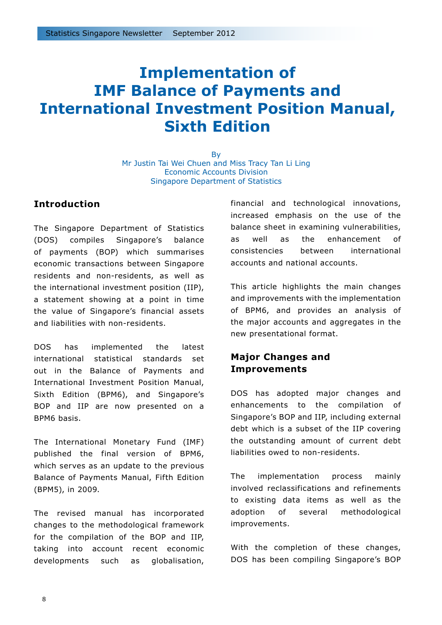# **Implementation of IMF Balance of Payments and International Investment Position Manual, Sixth Edition**

By Mr Justin Tai Wei Chuen and Miss Tracy Tan Li Ling Economic Accounts Division Singapore Department of Statistics

## **Introduction**

The Singapore Department of Statistics (DOS) compiles Singapore's balance of payments (BOP) which summarises economic transactions between Singapore residents and non-residents, as well as the international investment position (IIP), a statement showing at a point in time the value of Singapore's financial assets and liabilities with non-residents.

DOS has implemented the latest international statistical standards set out in the Balance of Payments and International Investment Position Manual, Sixth Edition (BPM6), and Singapore's BOP and IIP are now presented on a BPM6 basis.

The International Monetary Fund (IMF) published the final version of BPM6, which serves as an update to the previous Balance of Payments Manual, Fifth Edition (BPM5), in 2009.

The revised manual has incorporated changes to the methodological framework for the compilation of the BOP and IIP, taking into account recent economic developments such as globalisation, financial and technological innovations, increased emphasis on the use of the balance sheet in examining vulnerabilities, as well as the enhancement of consistencies between international accounts and national accounts.

This article highlights the main changes and improvements with the implementation of BPM6, and provides an analysis of the major accounts and aggregates in the new presentational format.

# **Major Changes and Improvements**

DOS has adopted major changes and enhancements to the compilation of Singapore's BOP and IIP, including external debt which is a subset of the IIP covering the outstanding amount of current debt liabilities owed to non-residents.

The implementation process mainly involved reclassifications and refinements to existing data items as well as the adoption of several methodological improvements.

With the completion of these changes, DOS has been compiling Singapore's BOP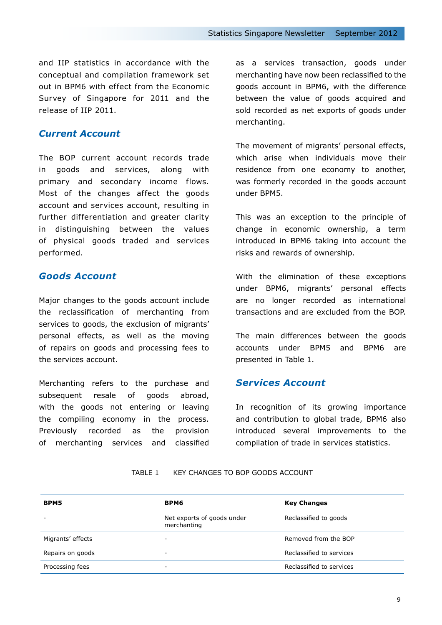and IIP statistics in accordance with the conceptual and compilation framework set out in BPM6 with effect from the Economic Survey of Singapore for 2011 and the release of IIP 2011.

### *Current Account*

The BOP current account records trade in goods and services, along with primary and secondary income flows. Most of the changes affect the goods account and services account, resulting in further differentiation and greater clarity in distinguishing between the values of physical goods traded and services performed.

## *Goods Account*

Major changes to the goods account include the reclassification of merchanting from services to goods, the exclusion of migrants' personal effects, as well as the moving of repairs on goods and processing fees to the services account.

Merchanting refers to the purchase and subsequent resale of goods abroad, with the goods not entering or leaving the compiling economy in the process. Previously recorded as the provision of merchanting services and classified as a services transaction, goods under merchanting have now been reclassified to the goods account in BPM6, with the difference between the value of goods acquired and sold recorded as net exports of goods under merchanting.

The movement of migrants' personal effects, which arise when individuals move their residence from one economy to another, was formerly recorded in the goods account under BPM5.

This was an exception to the principle of change in economic ownership, a term introduced in BPM6 taking into account the risks and rewards of ownership.

With the elimination of these exceptions under BPM6, migrants' personal effects are no longer recorded as international transactions and are excluded from the BOP.

The main differences between the goods accounts under BPM5 and BPM6 are presented in Table 1.

## *Services Account*

In recognition of its growing importance and contribution to global trade, BPM6 also introduced several improvements to the compilation of trade in services statistics.

| BPM5              | BPM6                                      | <b>Key Changes</b>       |
|-------------------|-------------------------------------------|--------------------------|
|                   | Net exports of goods under<br>merchanting | Reclassified to goods    |
| Migrants' effects | -                                         | Removed from the BOP     |
| Repairs on goods  | $\overline{\phantom{0}}$                  | Reclassified to services |
| Processing fees   | -                                         | Reclassified to services |

#### TABLE 1 KEY CHANGES TO BOP GOODS ACCOUNT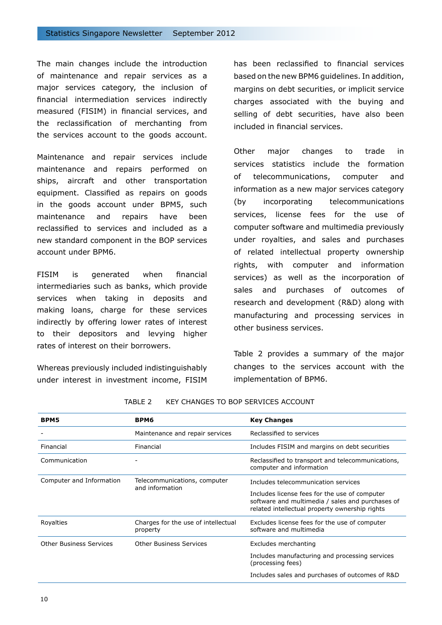The main changes include the introduction of maintenance and repair services as a major services category, the inclusion of financial intermediation services indirectly measured (FISIM) in financial services, and the reclassification of merchanting from the services account to the goods account.

Maintenance and repair services include maintenance and repairs performed on ships, aircraft and other transportation equipment. Classified as repairs on goods in the goods account under BPM5, such maintenance and repairs have been reclassified to services and included as a new standard component in the BOP services account under BPM6.

FISIM is generated when financial intermediaries such as banks, which provide services when taking in deposits and making loans, charge for these services indirectly by offering lower rates of interest to their depositors and levying higher rates of interest on their borrowers.

Whereas previously included indistinguishably under interest in investment income, FISIM

has been reclassified to financial services based on the new BPM6 guidelines. In addition, margins on debt securities, or implicit service charges associated with the buying and selling of debt securities, have also been included in financial services.

Other major changes to trade in services statistics include the formation of telecommunications, computer and information as a new major services category (by incorporating telecommunications services, license fees for the use of computer software and multimedia previously under royalties, and sales and purchases of related intellectual property ownership rights, with computer and information services) as well as the incorporation of sales and purchases of outcomes of research and development (R&D) along with manufacturing and processing services in other business services.

Table 2 provides a summary of the major changes to the services account with the implementation of BPM6.

| <b>BPM5</b>                    | BPM6                                            | <b>Key Changes</b>                                                                                                                                  |  |  |
|--------------------------------|-------------------------------------------------|-----------------------------------------------------------------------------------------------------------------------------------------------------|--|--|
|                                | Maintenance and repair services                 | Reclassified to services                                                                                                                            |  |  |
| Financial                      | Financial                                       | Includes FISIM and margins on debt securities                                                                                                       |  |  |
| Communication                  |                                                 | Reclassified to transport and telecommunications,<br>computer and information                                                                       |  |  |
| Computer and Information       | Telecommunications, computer<br>and information | Includes telecommunication services                                                                                                                 |  |  |
|                                |                                                 | Includes license fees for the use of computer<br>software and multimedia / sales and purchases of<br>related intellectual property ownership rights |  |  |
| Royalties                      | Charges for the use of intellectual<br>property | Excludes license fees for the use of computer<br>software and multimedia                                                                            |  |  |
| <b>Other Business Services</b> | <b>Other Business Services</b>                  | Excludes merchanting                                                                                                                                |  |  |
|                                |                                                 | Includes manufacturing and processing services<br>(processing fees)                                                                                 |  |  |
|                                |                                                 | Includes sales and purchases of outcomes of R&D                                                                                                     |  |  |
|                                |                                                 |                                                                                                                                                     |  |  |

#### TABLE 2 KEY CHANGES TO BOP SERVICES ACCOUNT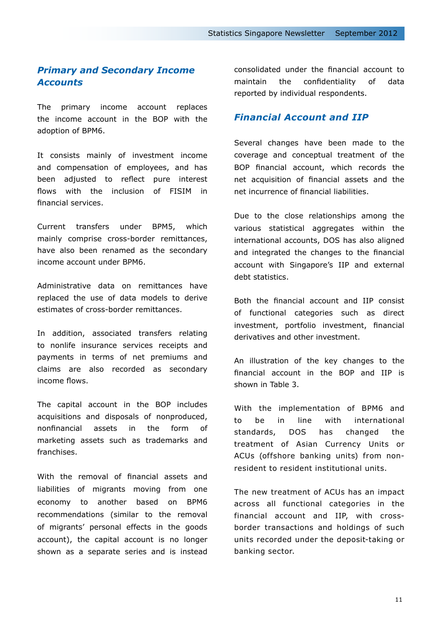# *Primary and Secondary Income Accounts*

The primary income account replaces the income account in the BOP with the adoption of BPM6.

It consists mainly of investment income and compensation of employees, and has been adjusted to reflect pure interest flows with the inclusion of FISIM in financial services.

Current transfers under BPM5, which mainly comprise cross-border remittances, have also been renamed as the secondary income account under BPM6.

Administrative data on remittances have replaced the use of data models to derive estimates of cross-border remittances.

In addition, associated transfers relating to nonlife insurance services receipts and payments in terms of net premiums and claims are also recorded as secondary income flows.

The capital account in the BOP includes acquisitions and disposals of nonproduced, nonfinancial assets in the form of marketing assets such as trademarks and franchises.

With the removal of financial assets and liabilities of migrants moving from one economy to another based on BPM6 recommendations (similar to the removal of migrants' personal effects in the goods account), the capital account is no longer shown as a separate series and is instead consolidated under the financial account to maintain the confidentiality of data reported by individual respondents.

### *Financial Account and IIP*

Several changes have been made to the coverage and conceptual treatment of the BOP financial account, which records the net acquisition of financial assets and the net incurrence of financial liabilities.

Due to the close relationships among the various statistical aggregates within the international accounts, DOS has also aligned and integrated the changes to the financial account with Singapore's IIP and external debt statistics.

Both the financial account and IIP consist of functional categories such as direct investment, portfolio investment, financial derivatives and other investment.

An illustration of the key changes to the financial account in the BOP and IIP is shown in Table 3.

With the implementation of BPM6 and to be in line with international standards, DOS has changed the treatment of Asian Currency Units or ACUs (offshore banking units) from nonresident to resident institutional units.

The new treatment of ACUs has an impact across all functional categories in the financial account and IIP, with crossborder transactions and holdings of such units recorded under the deposit-taking or banking sector.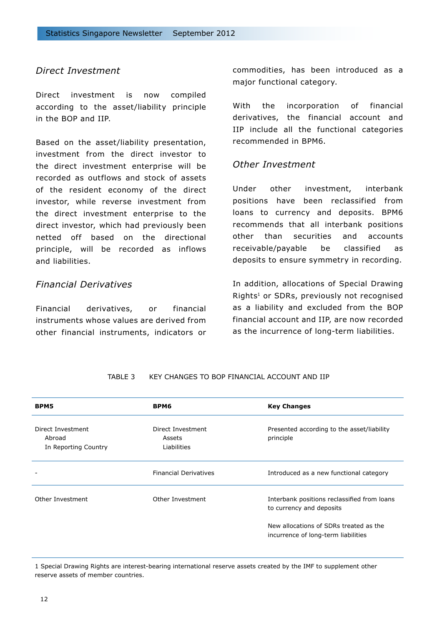## *Direct Investment*

Direct investment is now compiled according to the asset/liability principle in the BOP and IIP.

Based on the asset/liability presentation, investment from the direct investor to the direct investment enterprise will be recorded as outflows and stock of assets of the resident economy of the direct investor, while reverse investment from the direct investment enterprise to the direct investor, which had previously been netted off based on the directional principle, will be recorded as inflows and liabilities.

## *Financial Derivatives*

Financial derivatives, or financial instruments whose values are derived from other financial instruments, indicators or commodities, has been introduced as a major functional category.

With the incorporation of financial derivatives, the financial account and IIP include all the functional categories recommended in BPM6.

### *Other Investment*

Under other investment, interbank positions have been reclassified from loans to currency and deposits. BPM6 recommends that all interbank positions other than securities and accounts receivable/payable be classified as deposits to ensure symmetry in recording.

In addition, allocations of Special Drawing Rights<sup>1</sup> or SDRs, previously not recognised as a liability and excluded from the BOP financial account and IIP, are now recorded as the incurrence of long-term liabilities.

| <b>BPM5</b>                                         | BPM6                                       | <b>Key Changes</b>                                                            |
|-----------------------------------------------------|--------------------------------------------|-------------------------------------------------------------------------------|
| Direct Investment<br>Abroad<br>In Reporting Country | Direct Investment<br>Assets<br>Liabilities | Presented according to the asset/liability<br>principle                       |
|                                                     | <b>Financial Derivatives</b>               | Introduced as a new functional category                                       |
| Other Investment                                    | Other Investment                           | Interbank positions reclassified from loans<br>to currency and deposits       |
|                                                     |                                            | New allocations of SDRs treated as the<br>incurrence of long-term liabilities |

#### TABLE 3 KEY CHANGES TO BOP FINANCIAL ACCOUNT AND IIP

1 Special Drawing Rights are interest-bearing international reserve assets created by the IMF to supplement other reserve assets of member countries.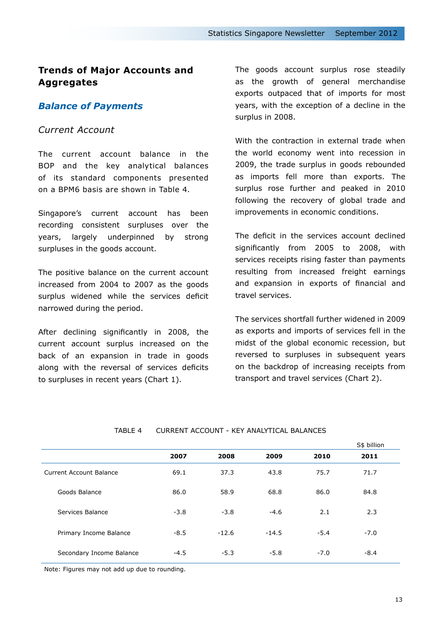# **Trends of Major Accounts and Aggregates**

## *Balance of Payments*

### *Current Account*

The current account balance in the BOP and the key analytical balances of its standard components presented on a BPM6 basis are shown in Table 4.

Singapore's current account has been recording consistent surpluses over the years, largely underpinned by strong surpluses in the goods account.

The positive balance on the current account increased from 2004 to 2007 as the goods surplus widened while the services deficit narrowed during the period.

After declining significantly in 2008, the current account surplus increased on the back of an expansion in trade in goods along with the reversal of services deficits to surpluses in recent years (Chart 1).

The goods account surplus rose steadily as the growth of general merchandise exports outpaced that of imports for most years, with the exception of a decline in the surplus in 2008.

With the contraction in external trade when the world economy went into recession in 2009, the trade surplus in goods rebounded as imports fell more than exports. The surplus rose further and peaked in 2010 following the recovery of global trade and improvements in economic conditions.

The deficit in the services account declined significantly from 2005 to 2008, with services receipts rising faster than payments resulting from increased freight earnings and expansion in exports of financial and travel services.

The services shortfall further widened in 2009 as exports and imports of services fell in the midst of the global economic recession, but reversed to surpluses in subsequent years on the backdrop of increasing receipts from transport and travel services (Chart 2).

|                          |        |         |         |        | S\$ billion |
|--------------------------|--------|---------|---------|--------|-------------|
|                          | 2007   | 2008    | 2009    | 2010   | 2011        |
| Current Account Balance  | 69.1   | 37.3    | 43.8    | 75.7   | 71.7        |
| Goods Balance            | 86.0   | 58.9    | 68.8    | 86.0   | 84.8        |
| Services Balance         | $-3.8$ | $-3.8$  | $-4.6$  | 2.1    | 2.3         |
| Primary Income Balance   | $-8.5$ | $-12.6$ | $-14.5$ | $-5.4$ | $-7.0$      |
| Secondary Income Balance | $-4.5$ | $-5.3$  | $-5.8$  | $-7.0$ | $-8.4$      |

#### TABLE 4 CURRENT ACCOUNT - KEY ANALYTICAL BALANCES

Note: Figures may not add up due to rounding.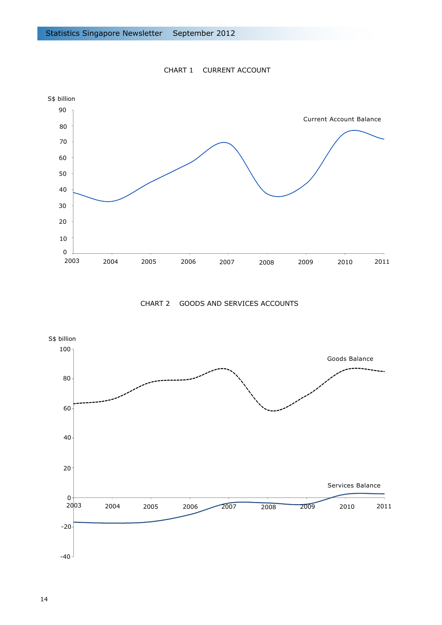

CHART 1 CURRENT ACCOUNT

CHART 2 GOODS AND SERVICES ACCOUNTS

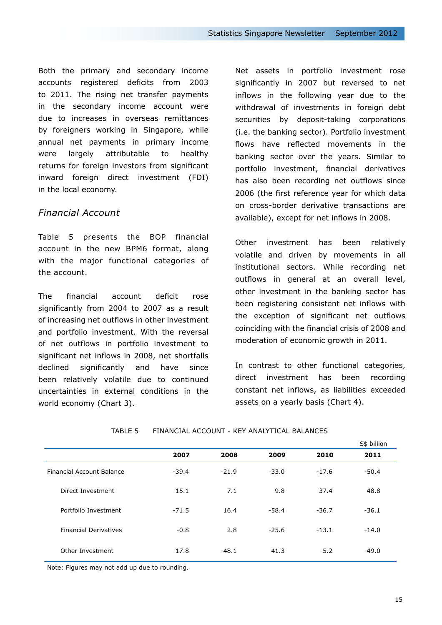Both the primary and secondary income accounts registered deficits from 2003 to 2011. The rising net transfer payments in the secondary income account were due to increases in overseas remittances by foreigners working in Singapore, while annual net payments in primary income were largely attributable to healthy returns for foreign investors from significant inward foreign direct investment (FDI) in the local economy.

## *Financial Account*

Table 5 presents the BOP financial account in the new BPM6 format, along with the major functional categories of the account.

The financial account deficit rose significantly from 2004 to 2007 as a result of increasing net outflows in other investment and portfolio investment. With the reversal of net outflows in portfolio investment to significant net inflows in 2008, net shortfalls declined significantly and have since been relatively volatile due to continued uncertainties in external conditions in the world economy (Chart 3).

Net assets in portfolio investment rose significantly in 2007 but reversed to net inflows in the following year due to the withdrawal of investments in foreign debt securities by deposit-taking corporations (i.e. the banking sector). Portfolio investment flows have reflected movements in the banking sector over the years. Similar to portfolio investment, financial derivatives has also been recording net outflows since 2006 (the first reference year for which data on cross-border derivative transactions are available), except for net inflows in 2008.

Other investment has been relatively volatile and driven by movements in all institutional sectors. While recording net outflows in general at an overall level, other investment in the banking sector has been registering consistent net inflows with the exception of significant net outflows coinciding with the financial crisis of 2008 and moderation of economic growth in 2011.

In contrast to other functional categories, direct investment has been recording constant net inflows, as liabilities exceeded assets on a yearly basis (Chart 4).

|                              |         |         |         |         | S\$ billion |
|------------------------------|---------|---------|---------|---------|-------------|
|                              | 2007    | 2008    | 2009    | 2010    | 2011        |
| Financial Account Balance    | $-39.4$ | $-21.9$ | $-33.0$ | $-17.6$ | $-50.4$     |
| Direct Investment            | 15.1    | 7.1     | 9.8     | 37.4    | 48.8        |
| Portfolio Investment         | $-71.5$ | 16.4    | $-58.4$ | $-36.7$ | $-36.1$     |
| <b>Financial Derivatives</b> | $-0.8$  | 2.8     | $-25.6$ | $-13.1$ | $-14.0$     |
| Other Investment             | 17.8    | $-48.1$ | 41.3    | $-5.2$  | $-49.0$     |

#### TABLE 5 FINANCIAL ACCOUNT - KEY ANALYTICAL BALANCES

Note: Figures may not add up due to rounding.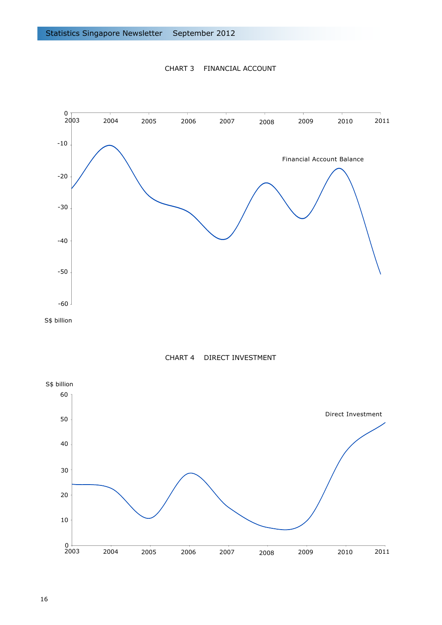





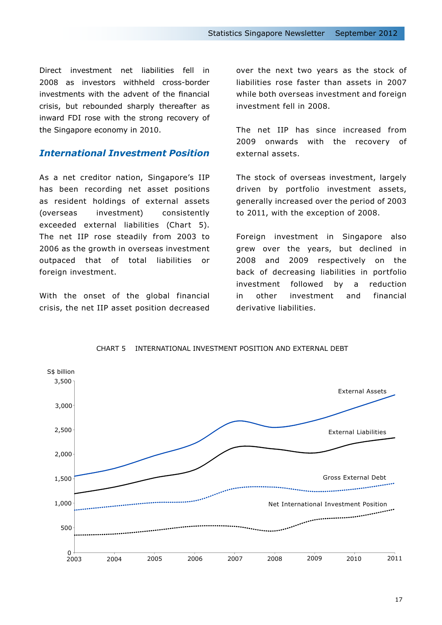Direct investment net liabilities fell in 2008 as investors withheld cross-border investments with the advent of the financial crisis, but rebounded sharply thereafter as inward FDI rose with the strong recovery of the Singapore economy in 2010.

## *International Investment Position*

As a net creditor nation, Singapore's IIP has been recording net asset positions as resident holdings of external assets (overseas investment) consistently exceeded external liabilities (Chart 5). The net IIP rose steadily from 2003 to 2006 as the growth in overseas investment outpaced that of total liabilities or foreign investment.

With the onset of the global financial crisis, the net IIP asset position decreased over the next two years as the stock of liabilities rose faster than assets in 2007 while both overseas investment and foreign investment fell in 2008.

The net IIP has since increased from 2009 onwards with the recovery of external assets.

The stock of overseas investment, largely driven by portfolio investment assets, generally increased over the period of 2003 to 2011, with the exception of 2008.

Foreign investment in Singapore also grew over the years, but declined in 2008 and 2009 respectively on the back of decreasing liabilities in portfolio investment followed by a reduction in other investment and financial derivative liabilities.



CHART 5 INTERNATIONAL INVESTMENT POSITION AND EXTERNAL DEBT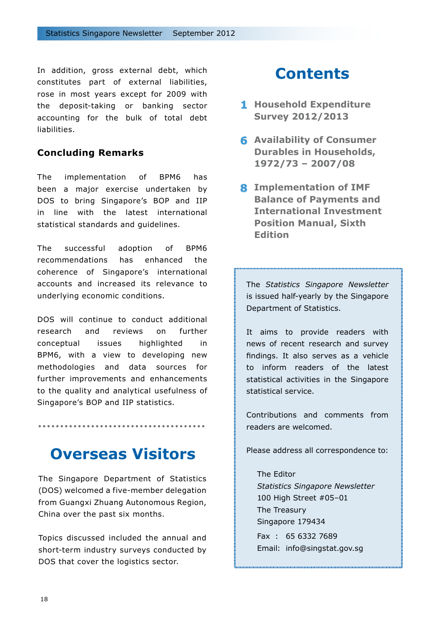In addition, gross external debt, which constitutes part of external liabilities, rose in most years except for 2009 with the deposit-taking or banking sector accounting for the bulk of total debt liabilities.

## **Concluding Remarks**

The implementation of BPM6 has been a major exercise undertaken by DOS to bring Singapore's BOP and IIP in line with the latest international statistical standards and guidelines.

The successful adoption of BPM6 recommendations has enhanced the coherence of Singapore's international accounts and increased its relevance to underlying economic conditions.

DOS will continue to conduct additional research and reviews on further conceptual issues highlighted in BPM6, with a view to developing new methodologies and data sources for further improvements and enhancements to the quality and analytical usefulness of Singapore's BOP and IIP statistics*.*

# **Overseas Visitors**

The Singapore Department of Statistics (DOS) welcomed a five-member delegation from Guangxi Zhuang Autonomous Region, China over the past six months.

Topics discussed included the annual and short-term industry surveys conducted by DOS that cover the logistics sector.

# **Contents**

- **Household Expenditure 1 Survey 2012/2013**
- **Availability of Consumer 6 Durables in Households, 1972/73 – 2007/08**
- **Implementation of IMF 8 Balance of Payments and International Investment Position Manual, Sixth Edition**

The *Statistics Singapore Newsletter* is issued half-yearly by the Singapore Department of Statistics.

It aims to provide readers with news of recent research and survey findings. It also serves as a vehicle to inform readers of the latest statistical activities in the Singapore statistical service.

Contributions and comments from readers are welcomed.

Please address all correspondence to:

The Editor *Statistics Singapore Newsletter* 100 High Street #05–01 The Treasury Singapore 179434

Fax : 65 6332 7689 Email: info@singstat.gov.sg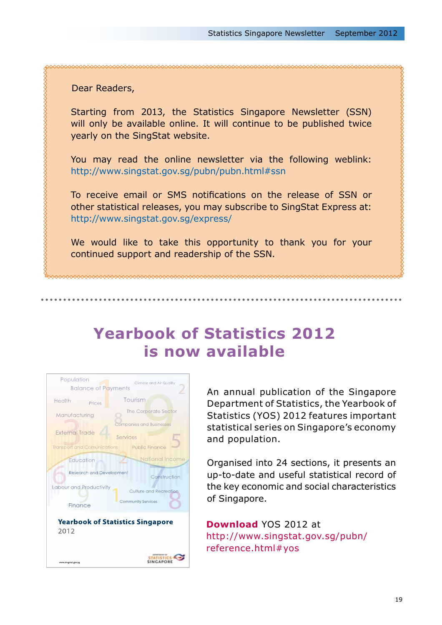## Dear Readers,

Starting from 2013, the Statistics Singapore Newsletter (SSN) will only be available online. It will continue to be published twice yearly on the SingStat website.

You may read the online newsletter via the following weblink: http://www.singstat.gov.sg/pubn/pubn.html#ssn

To receive email or SMS notifications on the release of SSN or other statistical releases, you may subscribe to SingStat Express at: http://www.singstat.gov.sg/express/

We would like to take this opportunity to thank you for your continued support and readership of the SSN.

# **Yearbook of Statistics 2012 is now available**



An annual publication of the Singapore Department of Statistics, the Yearbook of Statistics (YOS) 2012 features important statistical series on Singapore's economy and population.

Organised into 24 sections, it presents an up-to-date and useful statistical record of the key economic and social characteristics of Singapore.

**Download** YOS 2012 at http://www.singstat.gov.sg/pubn/ reference.html#yos